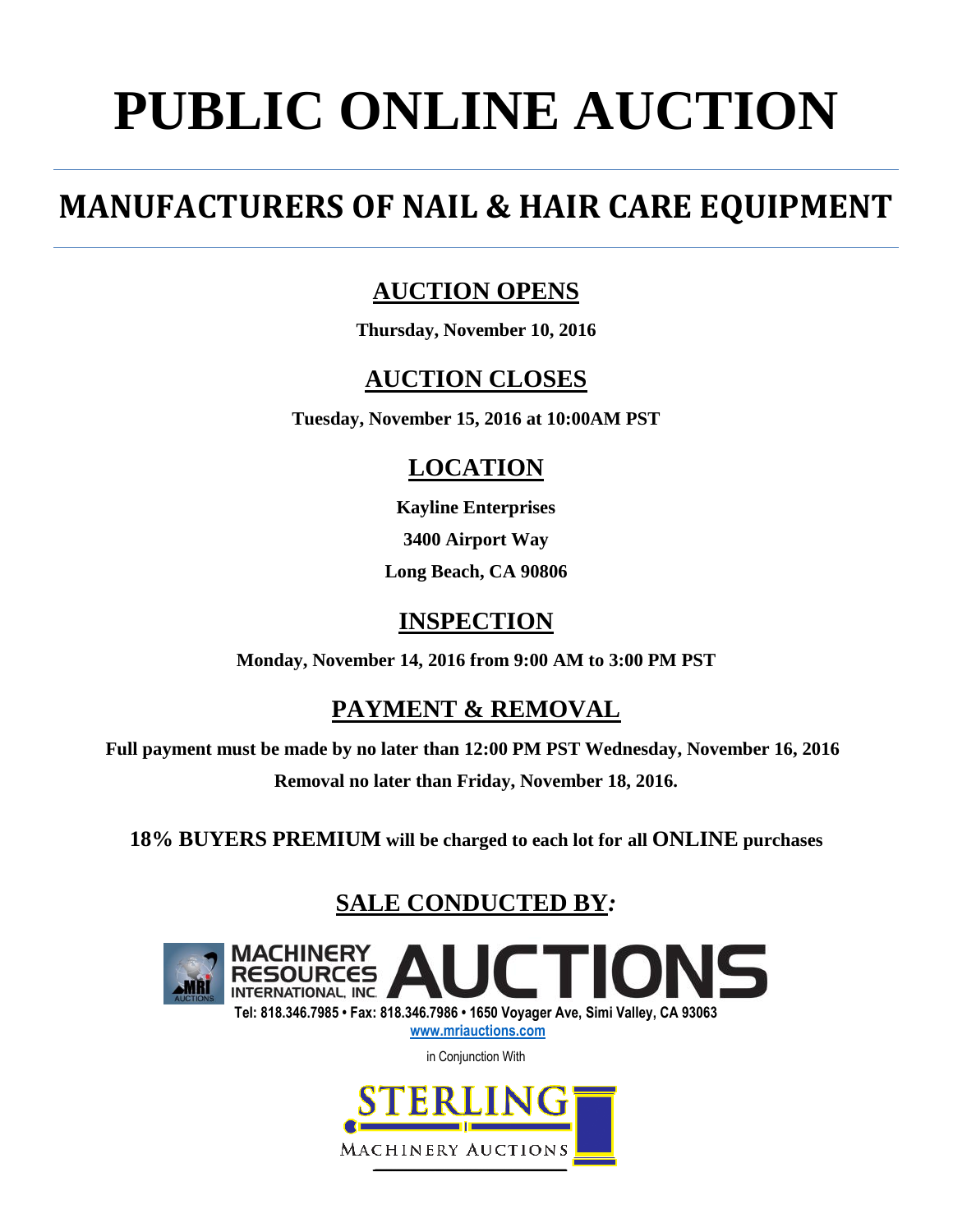# **PUBLIC ONLINE AUCTION**

## **MANUFACTURERS OF NAIL & HAIR CARE EQUIPMENT**

## **AUCTION OPENS**

**Thursday, November 10, 2016**

## **AUCTION CLOSES**

**Tuesday, November 15, 2016 at 10:00AM PST**

## **LOCATION**

**Kayline Enterprises 3400 Airport Way Long Beach, CA 90806**

## **INSPECTION**

**Monday, November 14, 2016 from 9:00 AM to 3:00 PM PST**

## **PAYMENT & REMOVAL**

**Full payment must be made by no later than 12:00 PM PST Wednesday, November 16, 2016 Removal no later than Friday, November 18, 2016.**

**18% BUYERS PREMIUM will be charged to each lot for all ONLINE purchases**

## **SALE CONDUCTED BY***:*



**Tel: 818.346.7985 • Fax: 818.346.7986 • 1650 Voyager Ave, Simi Valley, CA 93063 [www.mriauctions.com](http://www.mriauctions.com/)**

in Conjunction With

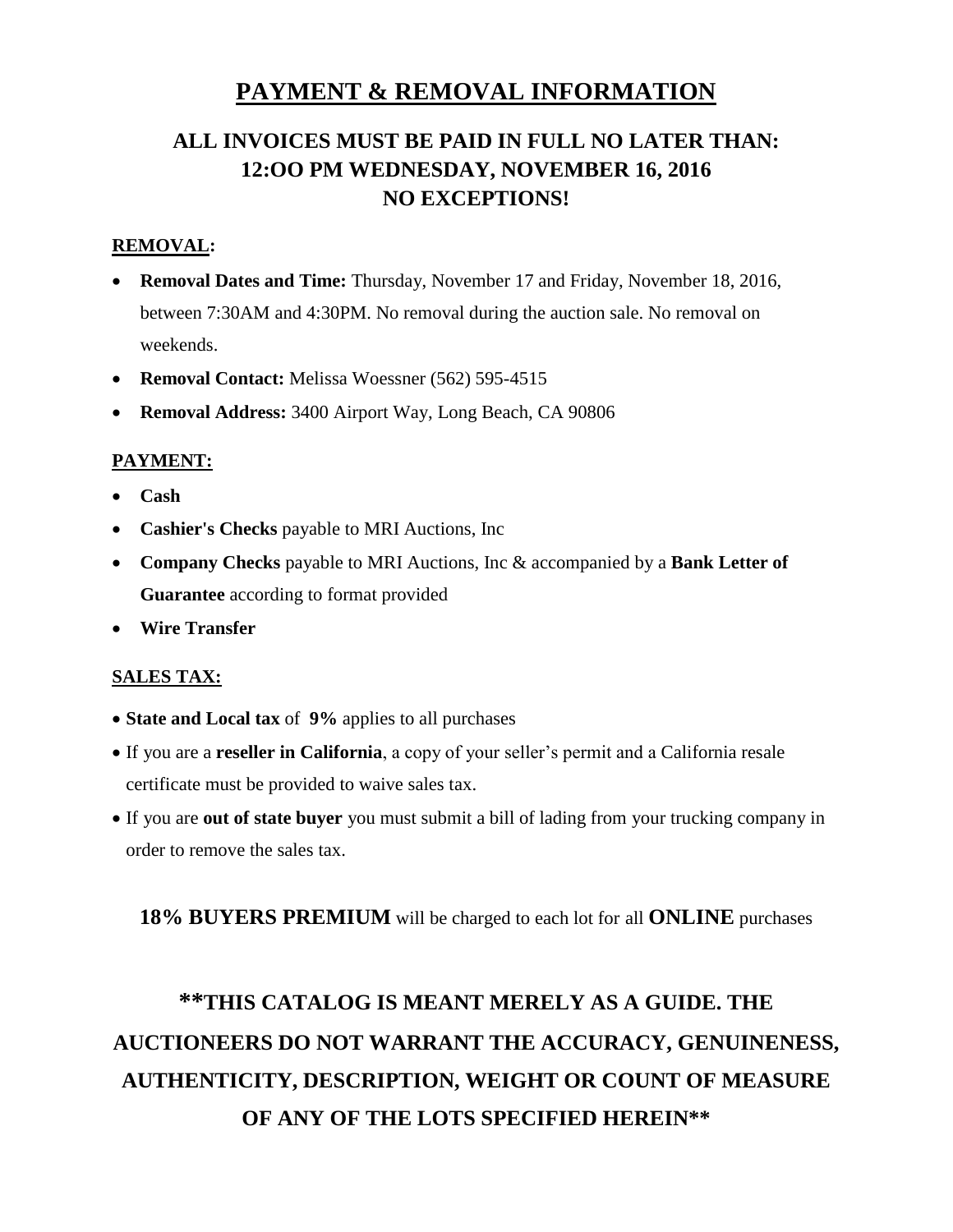### **PAYMENT & REMOVAL INFORMATION**

## **ALL INVOICES MUST BE PAID IN FULL NO LATER THAN: 12:OO PM WEDNESDAY, NOVEMBER 16, 2016 NO EXCEPTIONS!**

#### **REMOVAL:**

- **Removal Dates and Time:** Thursday, November 17 and Friday, November 18, 2016, between 7:30AM and 4:30PM. No removal during the auction sale. No removal on weekends.
- **Removal Contact:** Melissa Woessner (562) 595-4515
- **Removal Address:** 3400 Airport Way, Long Beach, CA 90806

#### **PAYMENT:**

- **Cash**
- **Cashier's Checks** payable to MRI Auctions, Inc
- **Company Checks** payable to MRI Auctions, Inc & accompanied by a **Bank Letter of Guarantee** according to format provided
- **Wire Transfer**

#### **SALES TAX:**

- **State and Local tax** of **9%** applies to all purchases
- If you are a **reseller in California**, a copy of your seller's permit and a California resale certificate must be provided to waive sales tax.
- If you are **out of state buyer** you must submit a bill of lading from your trucking company in order to remove the sales tax.

#### **18% BUYERS PREMIUM** will be charged to each lot for all **ONLINE** purchases

## **\*\*THIS CATALOG IS MEANT MERELY AS A GUIDE. THE AUCTIONEERS DO NOT WARRANT THE ACCURACY, GENUINENESS, AUTHENTICITY, DESCRIPTION, WEIGHT OR COUNT OF MEASURE OF ANY OF THE LOTS SPECIFIED HEREIN\*\***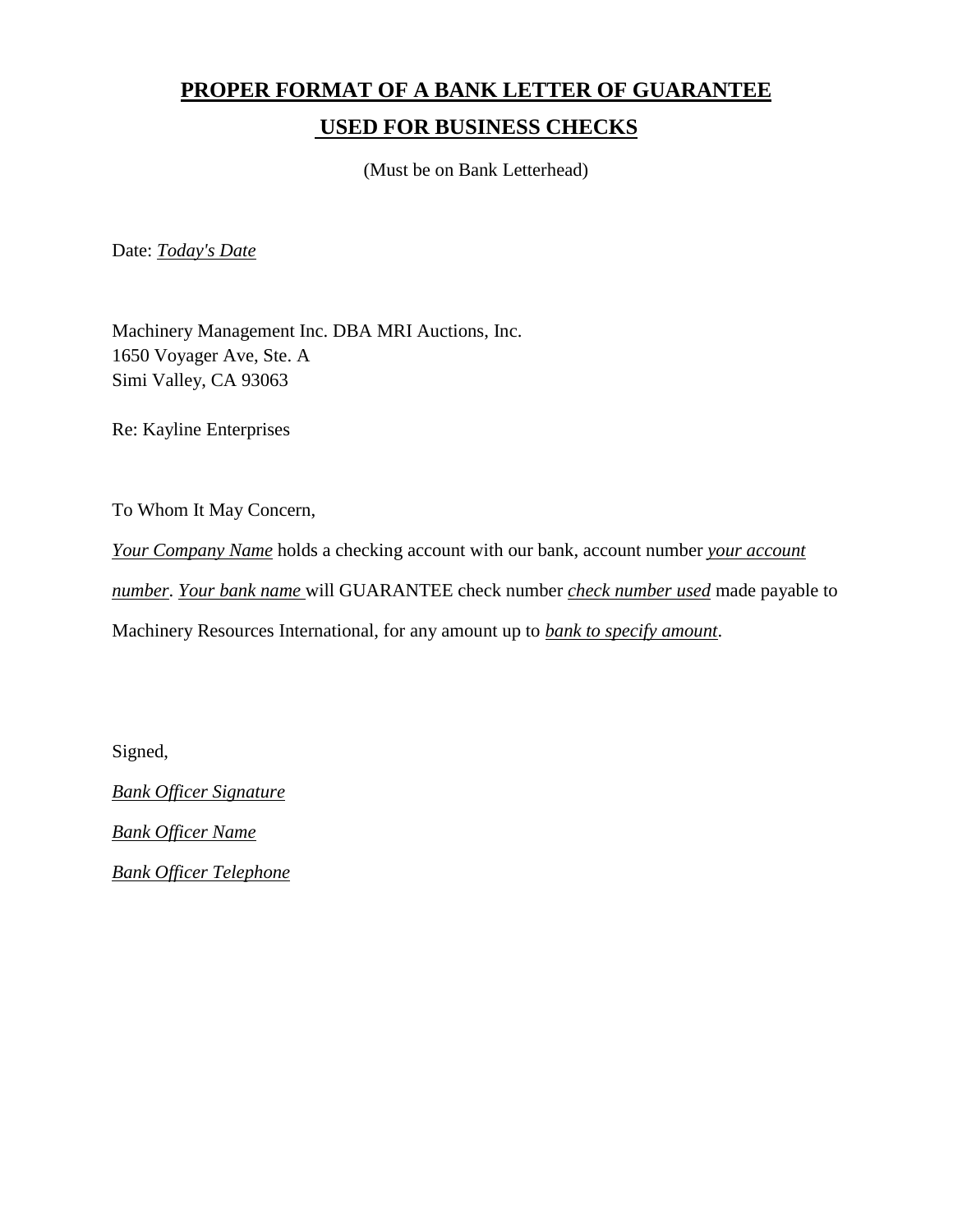## **PROPER FORMAT OF A BANK LETTER OF GUARANTEE USED FOR BUSINESS CHECKS**

(Must be on Bank Letterhead)

Date: *Today's Date*

Machinery Management Inc. DBA MRI Auctions, Inc. 1650 Voyager Ave, Ste. A Simi Valley, CA 93063

Re: Kayline Enterprises

To Whom It May Concern,

*Your Company Name* holds a checking account with our bank, account number *your account number*. *Your bank name* will GUARANTEE check number *check number used* made payable to Machinery Resources International, for any amount up to *bank to specify amount*.

Signed,

*Bank Officer Signature*

*Bank Officer Name*

*Bank Officer Telephone*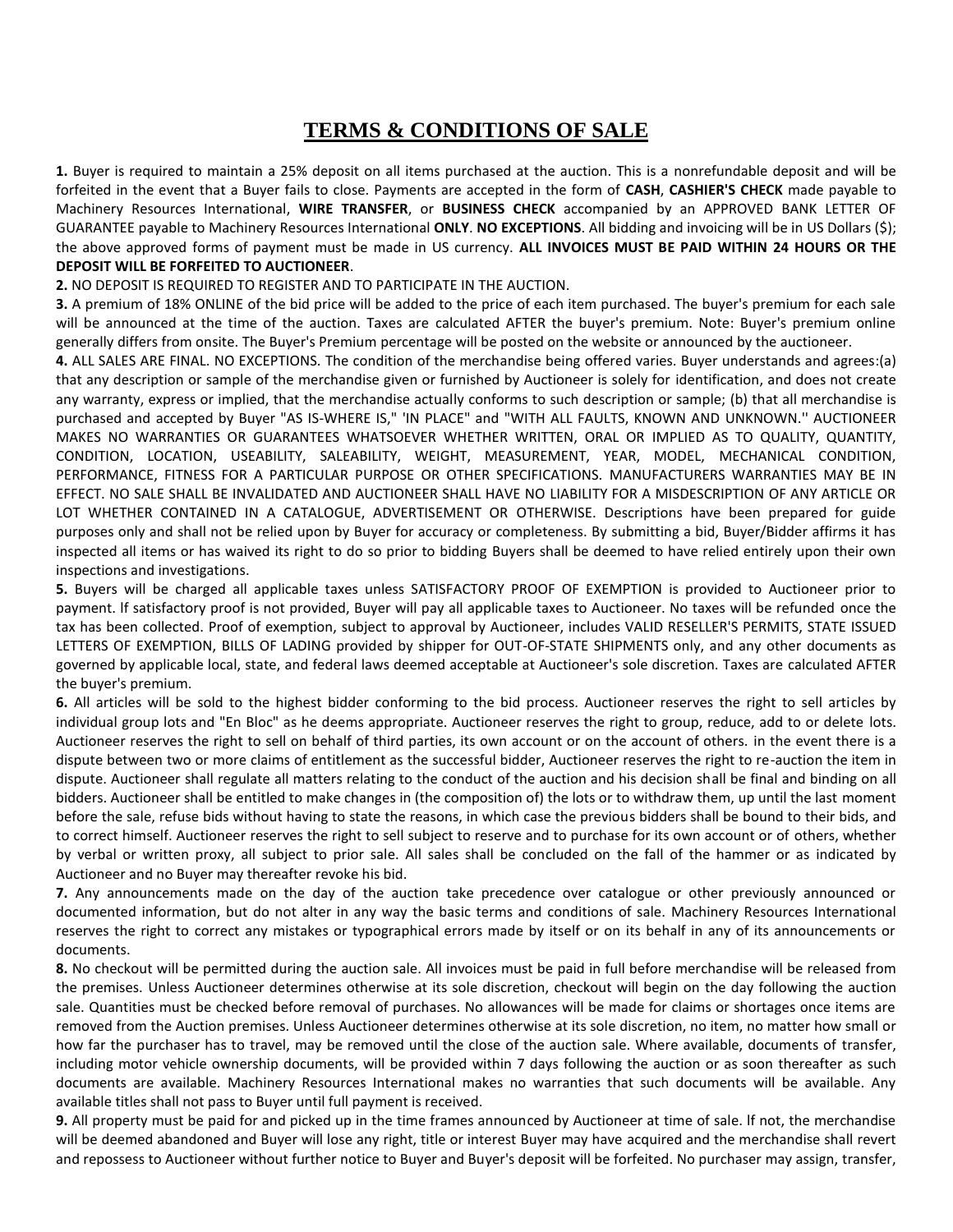#### **TERMS & CONDITIONS OF SALE**

**1.** Buyer is required to maintain a 25% deposit on all items purchased at the auction. This is a nonrefundable deposit and will be forfeited in the event that a Buyer fails to close. Payments are accepted in the form of **CASH**, **CASHIER'S CHECK** made payable to Machinery Resources International, **WIRE TRANSFER**, or **BUSINESS CHECK** accompanied by an APPROVED BANK LETTER OF GUARANTEE payable to Machinery Resources International **ONLY**. **NO EXCEPTIONS**. All bidding and invoicing will be in US Dollars (\$); the above approved forms of payment must be made in US currency. **ALL INVOICES MUST BE PAID WITHIN 24 HOURS OR THE DEPOSIT WILL BE FORFEITED TO AUCTIONEER**.

#### **2.** NO DEPOSIT IS REQUIRED TO REGISTER AND TO PARTICIPATE IN THE AUCTION.

**3.** A premium of 18% ONLINE of the bid price will be added to the price of each item purchased. The buyer's premium for each sale will be announced at the time of the auction. Taxes are calculated AFTER the buyer's premium. Note: Buyer's premium online generally differs from onsite. The Buyer's Premium percentage will be posted on the website or announced by the auctioneer.

**4.** ALL SALES ARE FINAL. NO EXCEPTIONS. The condition of the merchandise being offered varies. Buyer understands and agrees:(a) that any description or sample of the merchandise given or furnished by Auctioneer is solely for identification, and does not create any warranty, express or implied, that the merchandise actually conforms to such description or sample; (b) that all merchandise is purchased and accepted by Buyer "AS IS-WHERE IS," 'IN PLACE" and "WITH ALL FAULTS, KNOWN AND UNKNOWN.'' AUCTIONEER MAKES NO WARRANTIES OR GUARANTEES WHATSOEVER WHETHER WRITTEN, ORAL OR IMPLIED AS TO QUALITY, QUANTITY, CONDITION, LOCATION, USEABILITY, SALEABILITY, WEIGHT, MEASUREMENT, YEAR, MODEL, MECHANICAL CONDITION, PERFORMANCE, FITNESS FOR A PARTICULAR PURPOSE OR OTHER SPECIFICATIONS. MANUFACTURERS WARRANTIES MAY BE IN EFFECT. NO SALE SHALL BE INVALIDATED AND AUCTIONEER SHALL HAVE NO LIABILITY FOR A MISDESCRIPTION OF ANY ARTICLE OR LOT WHETHER CONTAINED IN A CATALOGUE, ADVERTISEMENT OR OTHERWISE. Descriptions have been prepared for guide purposes only and shall not be relied upon by Buyer for accuracy or completeness. By submitting a bid, Buyer/Bidder affirms it has inspected all items or has waived its right to do so prior to bidding Buyers shall be deemed to have relied entirely upon their own inspections and investigations.

**5.** Buyers will be charged all applicable taxes unless SATISFACTORY PROOF OF EXEMPTION is provided to Auctioneer prior to payment. lf satisfactory proof is not provided, Buyer will pay all applicable taxes to Auctioneer. No taxes will be refunded once the tax has been collected. Proof of exemption, subject to approval by Auctioneer, includes VALID RESELLER'S PERMITS, STATE ISSUED LETTERS OF EXEMPTION, BILLS OF LADING provided by shipper for OUT-OF-STATE SHIPMENTS only, and any other documents as governed by applicable local, state, and federal laws deemed acceptable at Auctioneer's sole discretion. Taxes are calculated AFTER the buyer's premium.

**6.** All articles will be sold to the highest bidder conforming to the bid process. Auctioneer reserves the right to sell articles by individual group lots and "En Bloc" as he deems appropriate. Auctioneer reserves the right to group, reduce, add to or delete lots. Auctioneer reserves the right to sell on behalf of third parties, its own account or on the account of others. in the event there is a dispute between two or more claims of entitlement as the successful bidder, Auctioneer reserves the right to re-auction the item in dispute. Auctioneer shall regulate all matters relating to the conduct of the auction and his decision shall be final and binding on all bidders. Auctioneer shall be entitled to make changes in (the composition of) the lots or to withdraw them, up until the last moment before the sale, refuse bids without having to state the reasons, in which case the previous bidders shall be bound to their bids, and to correct himself. Auctioneer reserves the right to sell subject to reserve and to purchase for its own account or of others, whether by verbal or written proxy, all subject to prior sale. All sales shall be concluded on the fall of the hammer or as indicated by Auctioneer and no Buyer may thereafter revoke his bid.

**7.** Any announcements made on the day of the auction take precedence over catalogue or other previously announced or documented information, but do not alter in any way the basic terms and conditions of sale. Machinery Resources International reserves the right to correct any mistakes or typographical errors made by itself or on its behalf in any of its announcements or documents.

**8.** No checkout will be permitted during the auction sale. All invoices must be paid in full before merchandise will be released from the premises. Unless Auctioneer determines otherwise at its sole discretion, checkout will begin on the day following the auction sale. Quantities must be checked before removal of purchases. No allowances will be made for claims or shortages once items are removed from the Auction premises. Unless Auctioneer determines otherwise at its sole discretion, no item, no matter how small or how far the purchaser has to travel, may be removed until the close of the auction sale. Where available, documents of transfer, including motor vehicle ownership documents, will be provided within 7 days following the auction or as soon thereafter as such documents are available. Machinery Resources International makes no warranties that such documents will be available. Any available titles shall not pass to Buyer until full payment is received.

**9.** All property must be paid for and picked up in the time frames announced by Auctioneer at time of sale. lf not, the merchandise will be deemed abandoned and Buyer will lose any right, title or interest Buyer may have acquired and the merchandise shall revert and repossess to Auctioneer without further notice to Buyer and Buyer's deposit will be forfeited. No purchaser may assign, transfer,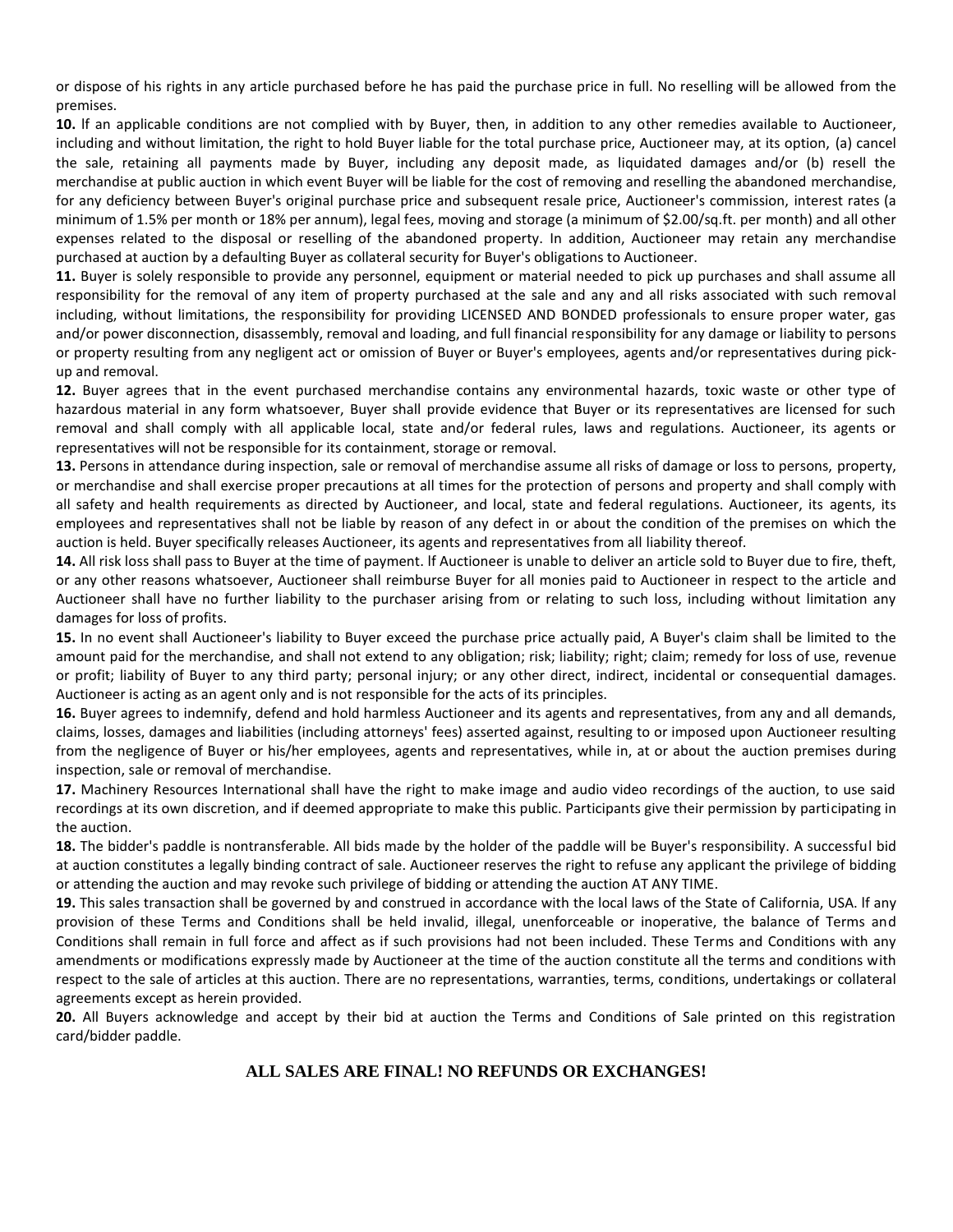or dispose of his rights in any article purchased before he has paid the purchase price in full. No reselling will be allowed from the premises.

**10.** lf an applicable conditions are not complied with by Buyer, then, in addition to any other remedies available to Auctioneer, including and without limitation, the right to hold Buyer liable for the total purchase price, Auctioneer may, at its option, (a) cancel the sale, retaining all payments made by Buyer, including any deposit made, as liquidated damages and/or (b) resell the merchandise at public auction in which event Buyer will be liable for the cost of removing and reselling the abandoned merchandise, for any deficiency between Buyer's original purchase price and subsequent resale price, Auctioneer's commission, interest rates (a minimum of 1.5% per month or 18% per annum), legal fees, moving and storage (a minimum of \$2.00/sq.ft. per month) and all other expenses related to the disposal or reselling of the abandoned property. In addition, Auctioneer may retain any merchandise purchased at auction by a defaulting Buyer as collateral security for Buyer's obligations to Auctioneer.

**11.** Buyer is solely responsible to provide any personnel, equipment or material needed to pick up purchases and shall assume all responsibility for the removal of any item of property purchased at the sale and any and all risks associated with such removal including, without limitations, the responsibility for providing LICENSED AND BONDED professionals to ensure proper water, gas and/or power disconnection, disassembly, removal and loading, and full financial responsibility for any damage or liability to persons or property resulting from any negligent act or omission of Buyer or Buyer's employees, agents and/or representatives during pickup and removal.

**12.** Buyer agrees that in the event purchased merchandise contains any environmental hazards, toxic waste or other type of hazardous material in any form whatsoever, Buyer shall provide evidence that Buyer or its representatives are licensed for such removal and shall comply with all applicable local, state and/or federal rules, laws and regulations. Auctioneer, its agents or representatives will not be responsible for its containment, storage or removal.

**13.** Persons in attendance during inspection, sale or removal of merchandise assume all risks of damage or loss to persons, property, or merchandise and shall exercise proper precautions at all times for the protection of persons and property and shall comply with all safety and health requirements as directed by Auctioneer, and local, state and federal regulations. Auctioneer, its agents, its employees and representatives shall not be liable by reason of any defect in or about the condition of the premises on which the auction is held. Buyer specifically releases Auctioneer, its agents and representatives from all liability thereof.

**14.** All risk loss shall pass to Buyer at the time of payment. lf Auctioneer is unable to deliver an article sold to Buyer due to fire, theft, or any other reasons whatsoever, Auctioneer shall reimburse Buyer for all monies paid to Auctioneer in respect to the article and Auctioneer shall have no further liability to the purchaser arising from or relating to such loss, including without limitation any damages for loss of profits.

**15.** In no event shall Auctioneer's liability to Buyer exceed the purchase price actually paid, A Buyer's claim shall be limited to the amount paid for the merchandise, and shall not extend to any obligation; risk; liability; right; claim; remedy for loss of use, revenue or profit; liability of Buyer to any third party; personal injury; or any other direct, indirect, incidental or consequential damages. Auctioneer is acting as an agent only and is not responsible for the acts of its principles.

**16.** Buyer agrees to indemnify, defend and hold harmless Auctioneer and its agents and representatives, from any and all demands, claims, losses, damages and liabilities (including attorneys' fees) asserted against, resulting to or imposed upon Auctioneer resulting from the negligence of Buyer or his/her employees, agents and representatives, while in, at or about the auction premises during inspection, sale or removal of merchandise.

**17.** Machinery Resources International shall have the right to make image and audio video recordings of the auction, to use said recordings at its own discretion, and if deemed appropriate to make this public. Participants give their permission by participating in the auction.

**18.** The bidder's paddle is nontransferable. All bids made by the holder of the paddle will be Buyer's responsibility. A successful bid at auction constitutes a legally binding contract of sale. Auctioneer reserves the right to refuse any applicant the privilege of bidding or attending the auction and may revoke such privilege of bidding or attending the auction AT ANY TIME.

**19.** This sales transaction shall be governed by and construed in accordance with the local laws of the State of California, USA. lf any provision of these Terms and Conditions shall be held invalid, illegal, unenforceable or inoperative, the balance of Terms and Conditions shall remain in full force and affect as if such provisions had not been included. These Terms and Conditions with any amendments or modifications expressly made by Auctioneer at the time of the auction constitute all the terms and conditions with respect to the sale of articles at this auction. There are no representations, warranties, terms, conditions, undertakings or collateral agreements except as herein provided.

**20.** All Buyers acknowledge and accept by their bid at auction the Terms and Conditions of Sale printed on this registration card/bidder paddle.

#### **ALL SALES ARE FINAL! NO REFUNDS OR EXCHANGES!**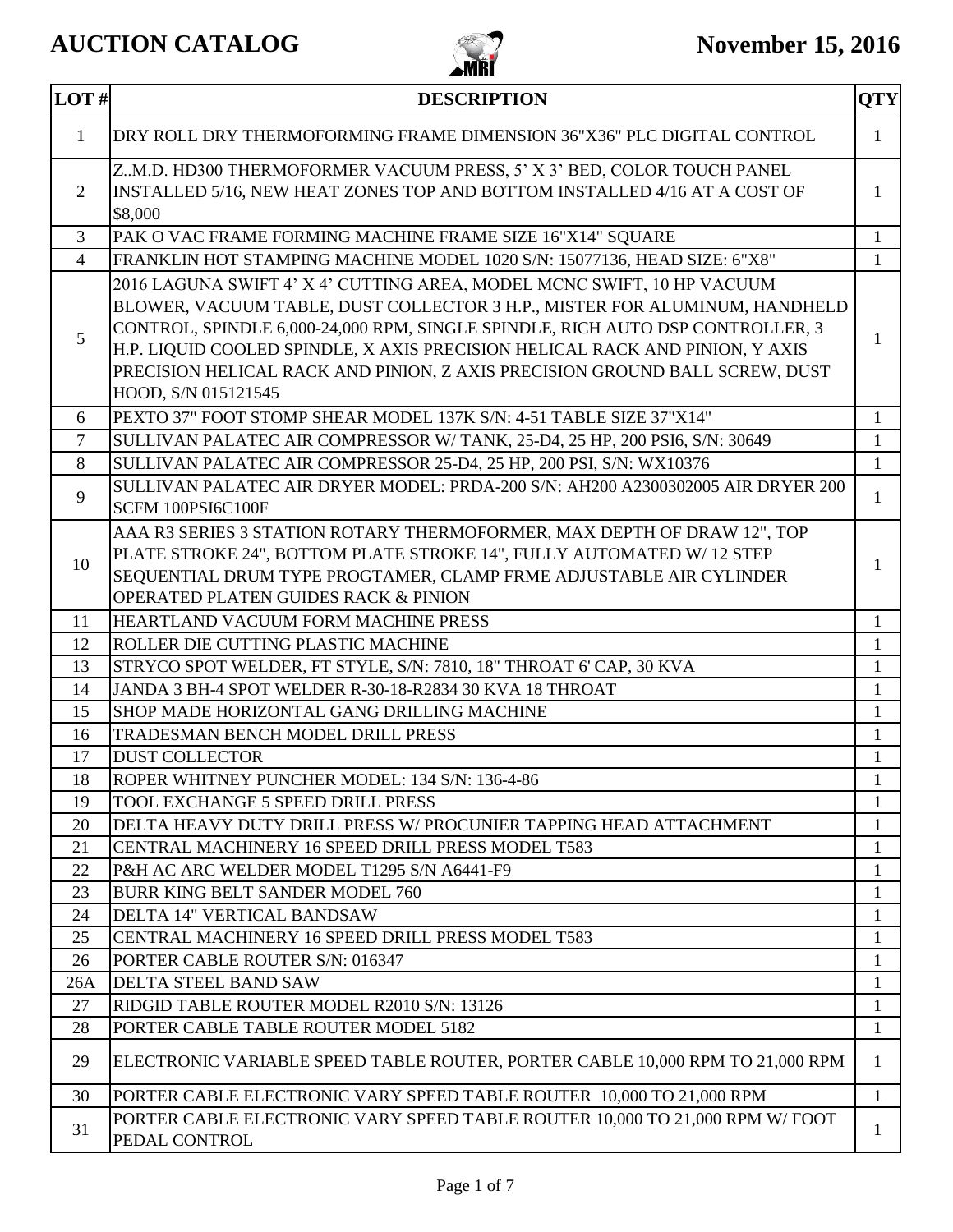

| LOT#           | <b>DESCRIPTION</b>                                                                                                                                                                                                                                                                                                                                                                                                           | <b>QTY</b>                   |
|----------------|------------------------------------------------------------------------------------------------------------------------------------------------------------------------------------------------------------------------------------------------------------------------------------------------------------------------------------------------------------------------------------------------------------------------------|------------------------------|
| $\mathbf{1}$   | DRY ROLL DRY THERMOFORMING FRAME DIMENSION 36"X36" PLC DIGITAL CONTROL                                                                                                                                                                                                                                                                                                                                                       | $\mathbf{1}$                 |
| 2              | Z.M.D. HD300 THERMOFORMER VACUUM PRESS, 5' X 3' BED, COLOR TOUCH PANEL<br>INSTALLED 5/16, NEW HEAT ZONES TOP AND BOTTOM INSTALLED 4/16 AT A COST OF<br>\$8,000                                                                                                                                                                                                                                                               | $\mathbf{1}$                 |
| 3              | PAK O VAC FRAME FORMING MACHINE FRAME SIZE 16"X14" SQUARE                                                                                                                                                                                                                                                                                                                                                                    | $\mathbf{1}$                 |
| $\overline{4}$ | FRANKLIN HOT STAMPING MACHINE MODEL 1020 S/N: 15077136, HEAD SIZE: 6"X8"                                                                                                                                                                                                                                                                                                                                                     | $\mathbf{1}$                 |
| 5              | 2016 LAGUNA SWIFT 4' X 4' CUTTING AREA, MODEL MCNC SWIFT, 10 HP VACUUM<br>BLOWER, VACUUM TABLE, DUST COLLECTOR 3 H.P., MISTER FOR ALUMINUM, HANDHELD<br>CONTROL, SPINDLE 6,000-24,000 RPM, SINGLE SPINDLE, RICH AUTO DSP CONTROLLER, 3<br>H.P. LIQUID COOLED SPINDLE, X AXIS PRECISION HELICAL RACK AND PINION, Y AXIS<br>PRECISION HELICAL RACK AND PINION, Z AXIS PRECISION GROUND BALL SCREW, DUST<br>HOOD, S/N 015121545 | $\mathbf{1}$                 |
| 6              | PEXTO 37" FOOT STOMP SHEAR MODEL 137K S/N: 4-51 TABLE SIZE 37"X14"                                                                                                                                                                                                                                                                                                                                                           | $\mathbf{1}$                 |
| $\overline{7}$ | SULLIVAN PALATEC AIR COMPRESSOR W/TANK, 25-D4, 25 HP, 200 PSI6, S/N: 30649                                                                                                                                                                                                                                                                                                                                                   | $\mathbf{1}$                 |
| 8              | SULLIVAN PALATEC AIR COMPRESSOR 25-D4, 25 HP, 200 PSI, S/N: WX10376                                                                                                                                                                                                                                                                                                                                                          | $\mathbf{1}$                 |
| 9              | SULLIVAN PALATEC AIR DRYER MODEL: PRDA-200 S/N: AH200 A2300302005 AIR DRYER 200<br>SCFM 100PSI6C100F                                                                                                                                                                                                                                                                                                                         | 1                            |
| 10             | AAA R3 SERIES 3 STATION ROTARY THERMOFORMER, MAX DEPTH OF DRAW 12", TOP<br>PLATE STROKE 24", BOTTOM PLATE STROKE 14", FULLY AUTOMATED W/ 12 STEP<br>SEQUENTIAL DRUM TYPE PROGTAMER, CLAMP FRME ADJUSTABLE AIR CYLINDER<br><b>OPERATED PLATEN GUIDES RACK &amp; PINION</b>                                                                                                                                                    | $\mathbf{1}$                 |
| 11             | HEARTLAND VACUUM FORM MACHINE PRESS                                                                                                                                                                                                                                                                                                                                                                                          | $\mathbf{1}$                 |
| 12             | ROLLER DIE CUTTING PLASTIC MACHINE                                                                                                                                                                                                                                                                                                                                                                                           | $\mathbf{1}$                 |
| 13             | STRYCO SPOT WELDER, FT STYLE, S/N: 7810, 18" THROAT 6' CAP, 30 KVA                                                                                                                                                                                                                                                                                                                                                           | $\mathbf{1}$                 |
| 14             | JANDA 3 BH-4 SPOT WELDER R-30-18-R2834 30 KVA 18 THROAT                                                                                                                                                                                                                                                                                                                                                                      | $\mathbf{1}$                 |
| 15             | SHOP MADE HORIZONTAL GANG DRILLING MACHINE                                                                                                                                                                                                                                                                                                                                                                                   | $\mathbf{1}$                 |
| 16             | TRADESMAN BENCH MODEL DRILL PRESS                                                                                                                                                                                                                                                                                                                                                                                            | 1                            |
| 17             | <b>DUST COLLECTOR</b>                                                                                                                                                                                                                                                                                                                                                                                                        | $\mathbf{1}$                 |
| 18             | ROPER WHITNEY PUNCHER MODEL: 134 S/N: 136-4-86                                                                                                                                                                                                                                                                                                                                                                               | 1                            |
| 19             | TOOL EXCHANGE 5 SPEED DRILL PRESS                                                                                                                                                                                                                                                                                                                                                                                            | 1                            |
| 20             | DELTA HEAVY DUTY DRILL PRESS W/ PROCUNIER TAPPING HEAD ATTACHMENT                                                                                                                                                                                                                                                                                                                                                            | $\mathbf{1}$                 |
| 21             | CENTRAL MACHINERY 16 SPEED DRILL PRESS MODEL T583                                                                                                                                                                                                                                                                                                                                                                            | $\mathbf{1}$                 |
| 22             | P&H AC ARC WELDER MODEL T1295 S/N A6441-F9                                                                                                                                                                                                                                                                                                                                                                                   | $\mathbf{1}$                 |
| 23             | <b>BURR KING BELT SANDER MODEL 760</b><br>DELTA 14" VERTICAL BANDSAW                                                                                                                                                                                                                                                                                                                                                         | 1                            |
| 24<br>25       | CENTRAL MACHINERY 16 SPEED DRILL PRESS MODEL T583                                                                                                                                                                                                                                                                                                                                                                            | $\mathbf{1}$<br>$\mathbf{1}$ |
| 26             | PORTER CABLE ROUTER S/N: 016347                                                                                                                                                                                                                                                                                                                                                                                              | $\mathbf{1}$                 |
| 26A            | DELTA STEEL BAND SAW                                                                                                                                                                                                                                                                                                                                                                                                         | $\mathbf{1}$                 |
| 27             | RIDGID TABLE ROUTER MODEL R2010 S/N: 13126                                                                                                                                                                                                                                                                                                                                                                                   | 1                            |
| 28             | PORTER CABLE TABLE ROUTER MODEL 5182                                                                                                                                                                                                                                                                                                                                                                                         | $\mathbf{1}$                 |
| 29             | ELECTRONIC VARIABLE SPEED TABLE ROUTER, PORTER CABLE 10,000 RPM TO 21,000 RPM                                                                                                                                                                                                                                                                                                                                                | $\mathbf{1}$                 |
| 30             | PORTER CABLE ELECTRONIC VARY SPEED TABLE ROUTER 10,000 TO 21,000 RPM                                                                                                                                                                                                                                                                                                                                                         | $\mathbf{1}$                 |
| 31             | PORTER CABLE ELECTRONIC VARY SPEED TABLE ROUTER 10,000 TO 21,000 RPM W/FOOT<br>PEDAL CONTROL                                                                                                                                                                                                                                                                                                                                 | 1                            |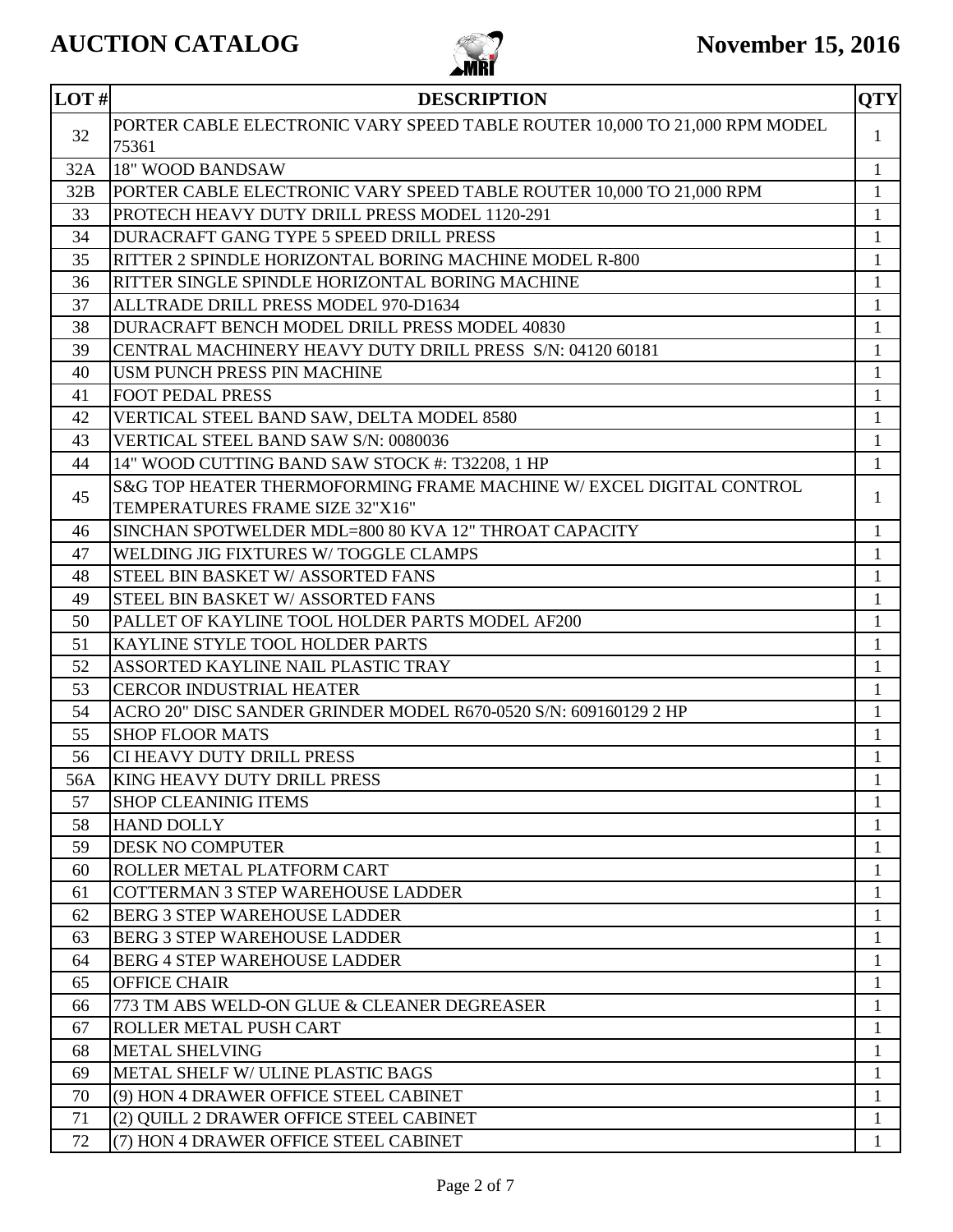

| LOT#     | <b>DESCRIPTION</b>                                                         | <b>QTY</b>   |
|----------|----------------------------------------------------------------------------|--------------|
|          | PORTER CABLE ELECTRONIC VARY SPEED TABLE ROUTER 10,000 TO 21,000 RPM MODEL |              |
| 32       | 75361                                                                      | $\mathbf{1}$ |
| 32A      | 18" WOOD BANDSAW                                                           | $\mathbf{1}$ |
| 32B      | PORTER CABLE ELECTRONIC VARY SPEED TABLE ROUTER 10,000 TO 21,000 RPM       | $\mathbf{1}$ |
| 33       | PROTECH HEAVY DUTY DRILL PRESS MODEL 1120-291                              | $\mathbf{1}$ |
| 34       | DURACRAFT GANG TYPE 5 SPEED DRILL PRESS                                    | $\mathbf{1}$ |
| 35       | RITTER 2 SPINDLE HORIZONTAL BORING MACHINE MODEL R-800                     | $\mathbf{1}$ |
| 36       | RITTER SINGLE SPINDLE HORIZONTAL BORING MACHINE                            | 1            |
| 37       | ALLTRADE DRILL PRESS MODEL 970-D1634                                       | $\mathbf{1}$ |
| 38       | DURACRAFT BENCH MODEL DRILL PRESS MODEL 40830                              | $\mathbf{1}$ |
| 39       | CENTRAL MACHINERY HEAVY DUTY DRILL PRESS S/N: 04120 60181                  | $\mathbf{1}$ |
| 40       | USM PUNCH PRESS PIN MACHINE                                                | $\mathbf{1}$ |
| 41       | <b>FOOT PEDAL PRESS</b>                                                    | $\mathbf{1}$ |
| 42       | VERTICAL STEEL BAND SAW, DELTA MODEL 8580                                  | $\mathbf{1}$ |
| 43       | VERTICAL STEEL BAND SAW S/N: 0080036                                       | 1            |
| 44       | 14" WOOD CUTTING BAND SAW STOCK #: T32208, 1 HP                            | $\mathbf{1}$ |
| 45       | S&G TOP HEATER THERMOFORMING FRAME MACHINE W/ EXCEL DIGITAL CONTROL        | $\mathbf{1}$ |
|          | TEMPERATURES FRAME SIZE 32"X16"                                            |              |
| 46       | SINCHAN SPOTWELDER MDL=800 80 KVA 12" THROAT CAPACITY                      | $\mathbf{1}$ |
| 47       | WELDING JIG FIXTURES W/TOGGLE CLAMPS                                       | $\mathbf{1}$ |
| 48       | STEEL BIN BASKET W/ ASSORTED FANS                                          | $\mathbf{1}$ |
| 49       | STEEL BIN BASKET W/ ASSORTED FANS                                          | $\mathbf{1}$ |
| 50       | PALLET OF KAYLINE TOOL HOLDER PARTS MODEL AF200                            | $\mathbf{1}$ |
| 51       | KAYLINE STYLE TOOL HOLDER PARTS                                            | $\mathbf{1}$ |
| 52       | ASSORTED KAYLINE NAIL PLASTIC TRAY                                         | $\mathbf{1}$ |
| 53       | <b>CERCOR INDUSTRIAL HEATER</b>                                            | 1            |
| 54       | ACRO 20" DISC SANDER GRINDER MODEL R670-0520 S/N: 609160129 2 HP           | 1            |
| 55<br>56 | <b>SHOP FLOOR MATS</b>                                                     | 1            |
|          | CI HEAVY DUTY DRILL PRESS                                                  | $\mathbf{1}$ |
| 56A      | <b>KING HEAVY DUTY DRILL PRESS</b>                                         | $\mathbf{1}$ |
| 57       | <b>SHOP CLEANINIG ITEMS</b><br><b>HAND DOLLY</b>                           | 1            |
| 58<br>59 | <b>DESK NO COMPUTER</b>                                                    | 1<br>1       |
| 60       | ROLLER METAL PLATFORM CART                                                 | 1            |
| 61       | <b>COTTERMAN 3 STEP WAREHOUSE LADDER</b>                                   | 1            |
| 62       | <b>BERG 3 STEP WAREHOUSE LADDER</b>                                        | 1            |
| 63       | <b>BERG 3 STEP WAREHOUSE LADDER</b>                                        | 1            |
| 64       | <b>BERG 4 STEP WAREHOUSE LADDER</b>                                        | 1            |
| 65       | <b>OFFICE CHAIR</b>                                                        | 1            |
| 66       | 773 TM ABS WELD-ON GLUE & CLEANER DEGREASER                                | 1            |
| 67       | ROLLER METAL PUSH CART                                                     | 1            |
| 68       | <b>METAL SHELVING</b>                                                      | $\mathbf{1}$ |
| 69       | <b>METAL SHELF W/ ULINE PLASTIC BAGS</b>                                   | $\mathbf{1}$ |
| 70       | (9) HON 4 DRAWER OFFICE STEEL CABINET                                      | $\mathbf{1}$ |
| 71       | (2) QUILL 2 DRAWER OFFICE STEEL CABINET                                    | $\mathbf{1}$ |
| 72       | (7) HON 4 DRAWER OFFICE STEEL CABINET                                      | 1            |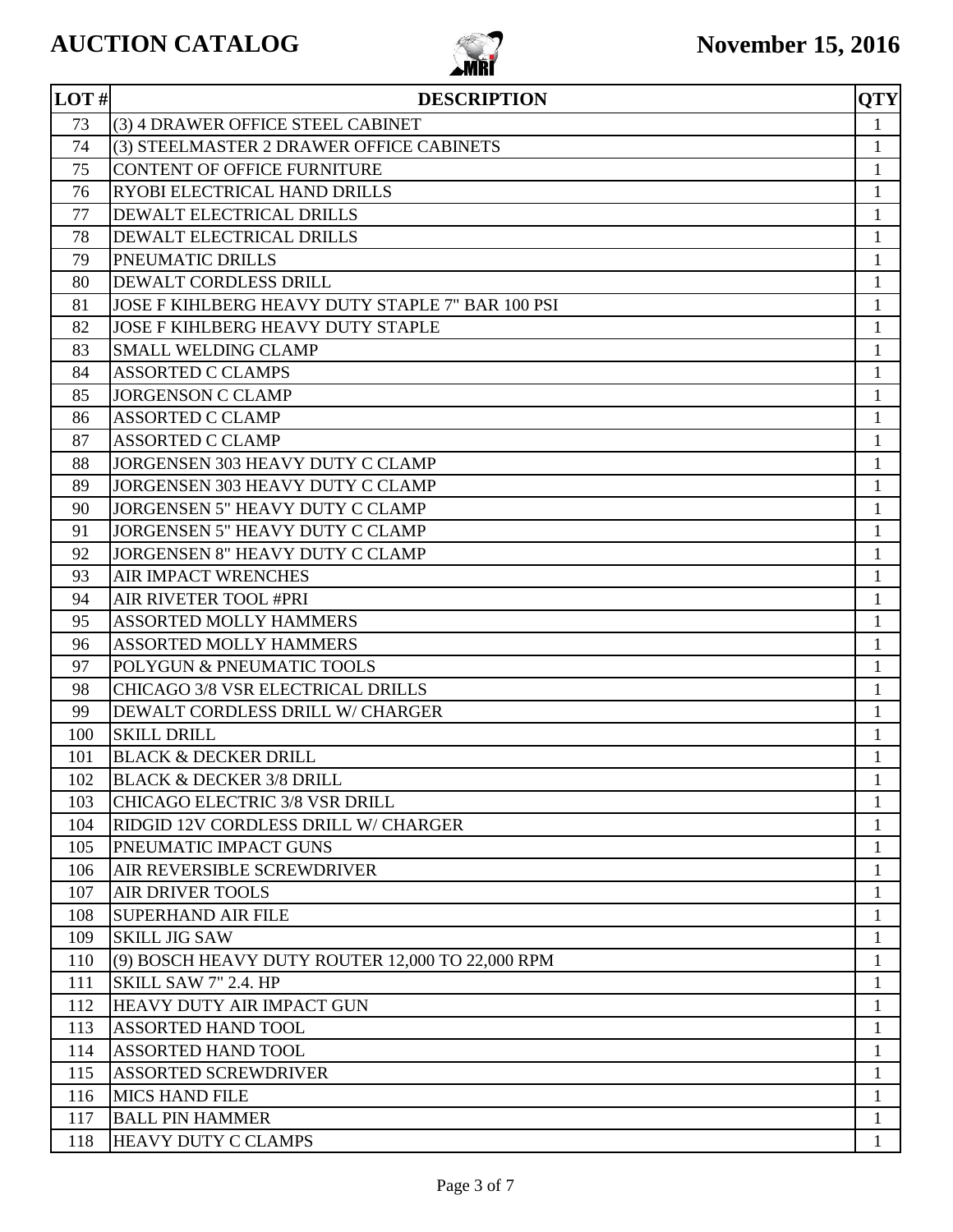

| LOT#     | <b>DESCRIPTION</b>                                             | <b>QTY</b>                   |
|----------|----------------------------------------------------------------|------------------------------|
| 73       | (3) 4 DRAWER OFFICE STEEL CABINET                              | $\mathbf{1}$                 |
| 74       | (3) STEELMASTER 2 DRAWER OFFICE CABINETS                       | $\mathbf{1}$                 |
| 75       | <b>CONTENT OF OFFICE FURNITURE</b>                             | 1                            |
| 76       | RYOBI ELECTRICAL HAND DRILLS                                   | 1                            |
| 77       | DEWALT ELECTRICAL DRILLS                                       | $\mathbf{1}$                 |
| 78       | DEWALT ELECTRICAL DRILLS                                       | $\mathbf{1}$                 |
| 79       | PNEUMATIC DRILLS                                               | $\mathbf{1}$                 |
| 80       | DEWALT CORDLESS DRILL                                          | $\mathbf{1}$                 |
| 81       | JOSE F KIHLBERG HEAVY DUTY STAPLE 7" BAR 100 PSI               | $\mathbf{1}$                 |
| 82       | <b>JOSE F KIHLBERG HEAVY DUTY STAPLE</b>                       | 1                            |
| 83       | <b>SMALL WELDING CLAMP</b>                                     | 1                            |
| 84       | <b>ASSORTED C CLAMPS</b>                                       | $\mathbf{1}$                 |
| 85       | <b>JORGENSON C CLAMP</b>                                       | $\mathbf{1}$                 |
| 86       | <b>ASSORTED C CLAMP</b>                                        | $\mathbf{1}$                 |
| 87       | <b>ASSORTED C CLAMP</b>                                        | $\mathbf{1}$                 |
| 88       | JORGENSEN 303 HEAVY DUTY C CLAMP                               | 1                            |
| 89       | JORGENSEN 303 HEAVY DUTY C CLAMP                               | 1                            |
| 90       | JORGENSEN 5" HEAVY DUTY C CLAMP                                | $\mathbf{1}$                 |
| 91       | JORGENSEN 5" HEAVY DUTY C CLAMP                                | $\mathbf{1}$                 |
| 92       | JORGENSEN 8" HEAVY DUTY C CLAMP                                | $\mathbf{1}$                 |
| 93       | <b>AIR IMPACT WRENCHES</b>                                     | $\mathbf{1}$                 |
| 94       | AIR RIVETER TOOL #PRI                                          | 1                            |
| 95       | <b>ASSORTED MOLLY HAMMERS</b>                                  | 1                            |
| 96       | <b>ASSORTED MOLLY HAMMERS</b>                                  | $\mathbf{1}$                 |
| 97<br>98 | POLYGUN & PNEUMATIC TOOLS<br>CHICAGO 3/8 VSR ELECTRICAL DRILLS | $\mathbf{1}$                 |
| 99       | DEWALT CORDLESS DRILL W/ CHARGER                               | $\mathbf{1}$                 |
| 100      | <b>SKILL DRILL</b>                                             | $\mathbf{1}$<br>$\mathbf{1}$ |
| 101      | <b>BLACK &amp; DECKER DRILL</b>                                | $\mathbf{1}$                 |
| 102      | <b>BLACK &amp; DECKER 3/8 DRILL</b>                            | $\mathbf{1}$                 |
| 103      | <b>CHICAGO ELECTRIC 3/8 VSR DRILL</b>                          | $\mathbf{1}$                 |
| 104      | RIDGID 12V CORDLESS DRILL W/ CHARGER                           | $\mathbf{1}$                 |
| 105      | PNEUMATIC IMPACT GUNS                                          | 1                            |
| 106      | AIR REVERSIBLE SCREWDRIVER                                     | 1                            |
| 107      | <b>AIR DRIVER TOOLS</b>                                        | 1                            |
| 108      | <b>SUPERHAND AIR FILE</b>                                      | 1                            |
| 109      | <b>SKILL JIG SAW</b>                                           | $\mathbf{1}$                 |
| 110      | (9) BOSCH HEAVY DUTY ROUTER 12,000 TO 22,000 RPM               | $\mathbf{1}$                 |
| 111      | SKILL SAW 7" 2.4. HP                                           | 1                            |
| 112      | HEAVY DUTY AIR IMPACT GUN                                      | 1                            |
| 113      | <b>ASSORTED HAND TOOL</b>                                      | 1                            |
| 114      | <b>ASSORTED HAND TOOL</b>                                      | 1                            |
| 115      | <b>ASSORTED SCREWDRIVER</b>                                    | 1                            |
| 116      | <b>MICS HAND FILE</b>                                          | 1                            |
| 117      | <b>BALL PIN HAMMER</b>                                         | $\mathbf{1}$                 |
| 118      | HEAVY DUTY C CLAMPS                                            | 1                            |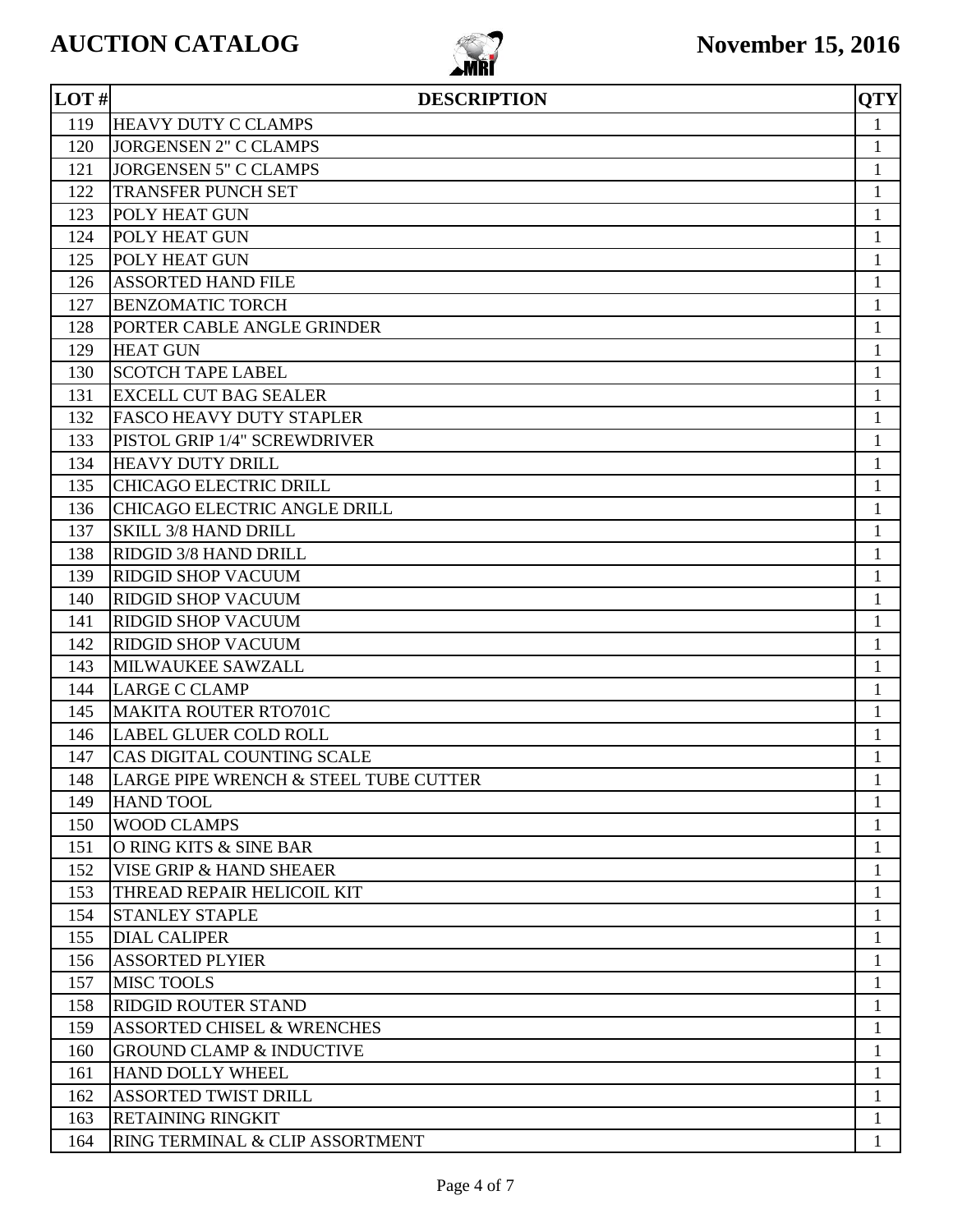

| LOT# | <b>DESCRIPTION</b>                    | <b>QTY</b>   |
|------|---------------------------------------|--------------|
| 119  | <b>HEAVY DUTY C CLAMPS</b>            | $\mathbf{1}$ |
| 120  | <b>JORGENSEN 2" C CLAMPS</b>          | 1            |
| 121  | <b>JORGENSEN 5" C CLAMPS</b>          | 1            |
| 122  | <b>TRANSFER PUNCH SET</b>             | $\mathbf{1}$ |
| 123  | POLY HEAT GUN                         | $\mathbf{1}$ |
| 124  | POLY HEAT GUN                         | 1            |
| 125  | POLY HEAT GUN                         | 1            |
| 126  | <b>ASSORTED HAND FILE</b>             | 1            |
| 127  | <b>BENZOMATIC TORCH</b>               | 1            |
| 128  | PORTER CABLE ANGLE GRINDER            | $\mathbf{1}$ |
| 129  | <b>HEAT GUN</b>                       | $\mathbf{1}$ |
| 130  | <b>SCOTCH TAPE LABEL</b>              | $\mathbf{1}$ |
| 131  | <b>EXCELL CUT BAG SEALER</b>          | $\mathbf{1}$ |
| 132  | <b>FASCO HEAVY DUTY STAPLER</b>       | $\mathbf{1}$ |
| 133  | PISTOL GRIP 1/4" SCREWDRIVER          | $\mathbf{1}$ |
| 134  | <b>HEAVY DUTY DRILL</b>               | $\mathbf{1}$ |
| 135  | <b>CHICAGO ELECTRIC DRILL</b>         | $\mathbf{1}$ |
| 136  | CHICAGO ELECTRIC ANGLE DRILL          | $\mathbf{1}$ |
| 137  | <b>SKILL 3/8 HAND DRILL</b>           | $\mathbf{1}$ |
| 138  | RIDGID 3/8 HAND DRILL                 | $\mathbf{1}$ |
| 139  | <b>RIDGID SHOP VACUUM</b>             | 1            |
| 140  | <b>RIDGID SHOP VACUUM</b>             | $\mathbf{1}$ |
| 141  | <b>RIDGID SHOP VACUUM</b>             | $\mathbf{1}$ |
| 142  | <b>RIDGID SHOP VACUUM</b>             | $\mathbf{1}$ |
| 143  | MILWAUKEE SAWZALL                     | $\mathbf{1}$ |
| 144  | <b>LARGE C CLAMP</b>                  | 1            |
| 145  | <b>MAKITA ROUTER RTO701C</b>          | 1            |
| 146  | <b>LABEL GLUER COLD ROLL</b>          | 1            |
| 147  | CAS DIGITAL COUNTING SCALE            | $\mathbf{1}$ |
| 148  | LARGE PIPE WRENCH & STEEL TUBE CUTTER | $\mathbf{1}$ |
| 149  | <b>HAND TOOL</b>                      |              |
| 150  | <b>WOOD CLAMPS</b>                    | 1            |
| 151  | O RING KITS & SINE BAR                | 1            |
| 152  | VISE GRIP & HAND SHEAER               | 1            |
| 153  | THREAD REPAIR HELICOIL KIT            | 1            |
| 154  | <b>STANLEY STAPLE</b>                 | 1            |
| 155  | <b>DIAL CALIPER</b>                   | 1            |
| 156  | <b>ASSORTED PLYIER</b>                | 1            |
| 157  | <b>MISC TOOLS</b>                     | 1            |
| 158  | <b>RIDGID ROUTER STAND</b>            | 1            |
| 159  | <b>ASSORTED CHISEL &amp; WRENCHES</b> | 1            |
| 160  | <b>GROUND CLAMP &amp; INDUCTIVE</b>   | $\mathbf{1}$ |
| 161  | <b>HAND DOLLY WHEEL</b>               | 1            |
| 162  | <b>ASSORTED TWIST DRILL</b>           | 1            |
| 163  | <b>RETAINING RINGKIT</b>              | 1            |
| 164  | RING TERMINAL & CLIP ASSORTMENT       |              |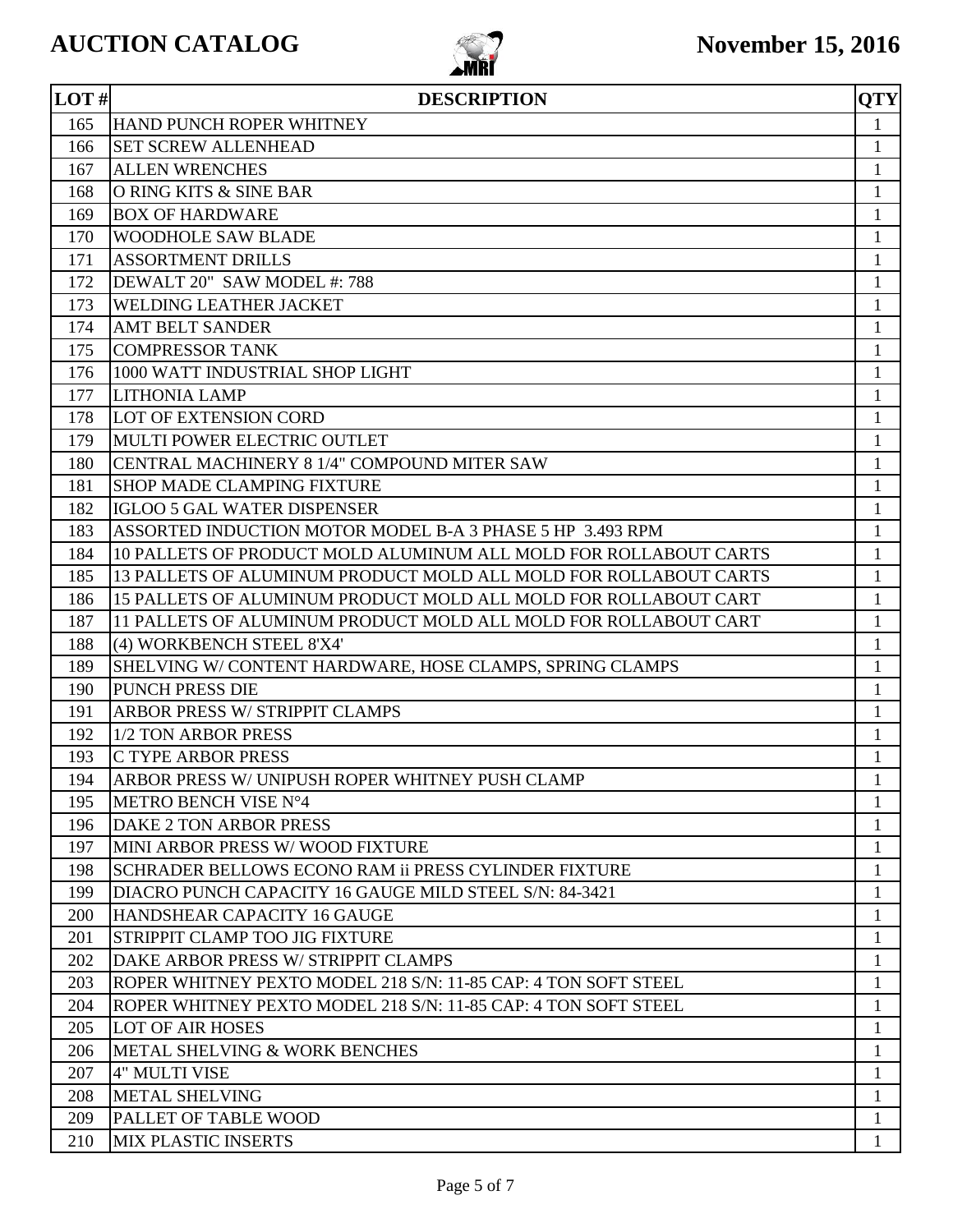

| LOT# | <b>DESCRIPTION</b>                                               | <b>OTY</b>   |
|------|------------------------------------------------------------------|--------------|
| 165  | <b>HAND PUNCH ROPER WHITNEY</b>                                  | $\mathbf{1}$ |
| 166  | <b>SET SCREW ALLENHEAD</b>                                       | $\mathbf{1}$ |
| 167  | <b>ALLEN WRENCHES</b>                                            | 1            |
| 168  | O RING KITS & SINE BAR                                           | 1            |
| 169  | <b>BOX OF HARDWARE</b>                                           | $\mathbf{1}$ |
| 170  | <b>WOODHOLE SAW BLADE</b>                                        | $\mathbf{1}$ |
| 171  | <b>ASSORTMENT DRILLS</b>                                         | $\mathbf{1}$ |
| 172  | DEWALT 20" SAW MODEL #: 788                                      | 1            |
| 173  | <b>WELDING LEATHER JACKET</b>                                    | 1            |
| 174  | <b>AMT BELT SANDER</b>                                           | 1            |
| 175  | <b>COMPRESSOR TANK</b>                                           | $\mathbf{1}$ |
| 176  | 1000 WATT INDUSTRIAL SHOP LIGHT                                  | $\mathbf{1}$ |
| 177  | <b>LITHONIA LAMP</b>                                             | $\mathbf{1}$ |
| 178  | <b>LOT OF EXTENSION CORD</b>                                     | $\mathbf{1}$ |
| 179  | MULTI POWER ELECTRIC OUTLET                                      | 1            |
| 180  | CENTRAL MACHINERY 8 1/4" COMPOUND MITER SAW                      | 1            |
| 181  | <b>SHOP MADE CLAMPING FIXTURE</b>                                | 1            |
| 182  | <b>IGLOO 5 GAL WATER DISPENSER</b>                               | $\mathbf{1}$ |
| 183  | ASSORTED INDUCTION MOTOR MODEL B-A 3 PHASE 5 HP 3.493 RPM        | 1            |
| 184  | 10 PALLETS OF PRODUCT MOLD ALUMINUM ALL MOLD FOR ROLLABOUT CARTS | $\mathbf{1}$ |
| 185  | 13 PALLETS OF ALUMINUM PRODUCT MOLD ALL MOLD FOR ROLLABOUT CARTS | $\mathbf{1}$ |
| 186  | 15 PALLETS OF ALUMINUM PRODUCT MOLD ALL MOLD FOR ROLLABOUT CART  | 1            |
| 187  | 11 PALLETS OF ALUMINUM PRODUCT MOLD ALL MOLD FOR ROLLABOUT CART  | 1            |
| 188  | (4) WORKBENCH STEEL 8'X4'                                        | $\mathbf{1}$ |
| 189  | SHELVING W/ CONTENT HARDWARE, HOSE CLAMPS, SPRING CLAMPS         | $\mathbf{1}$ |
| 190  | <b>PUNCH PRESS DIE</b>                                           | $\mathbf{1}$ |
| 191  | <b>ARBOR PRESS W/ STRIPPIT CLAMPS</b>                            | 1            |
| 192  | 1/2 TON ARBOR PRESS                                              | 1            |
| 193  | <b>C TYPE ARBOR PRESS</b>                                        | $\mathbf{1}$ |
| 194  | ARBOR PRESS W/ UNIPUSH ROPER WHITNEY PUSH CLAMP                  | $\mathbf{1}$ |
| 195  | METRO BENCH VISE N°4                                             | 1            |
| 196  | DAKE 2 TON ARBOR PRESS                                           | 1            |
| 197  | MINI ARBOR PRESS W/WOOD FIXTURE                                  | $\mathbf{1}$ |
| 198  | SCHRADER BELLOWS ECONO RAM ii PRESS CYLINDER FIXTURE             | 1            |
| 199  | DIACRO PUNCH CAPACITY 16 GAUGE MILD STEEL S/N: 84-3421           | 1            |
| 200  | HANDSHEAR CAPACITY 16 GAUGE                                      | 1            |
| 201  | STRIPPIT CLAMP TOO JIG FIXTURE                                   | $\mathbf{1}$ |
| 202  | DAKE ARBOR PRESS W/ STRIPPIT CLAMPS                              | 1            |
| 203  | ROPER WHITNEY PEXTO MODEL 218 S/N: 11-85 CAP: 4 TON SOFT STEEL   | 1            |
| 204  | ROPER WHITNEY PEXTO MODEL 218 S/N: 11-85 CAP: 4 TON SOFT STEEL   | $\mathbf{1}$ |
| 205  | <b>LOT OF AIR HOSES</b>                                          | 1            |
| 206  | METAL SHELVING & WORK BENCHES                                    | $\mathbf{1}$ |
| 207  | <b>4" MULTI VISE</b>                                             | 1            |
| 208  | <b>METAL SHELVING</b>                                            | 1            |
| 209  | <b>PALLET OF TABLE WOOD</b>                                      | $\mathbf{1}$ |
| 210  | <b>MIX PLASTIC INSERTS</b>                                       | 1            |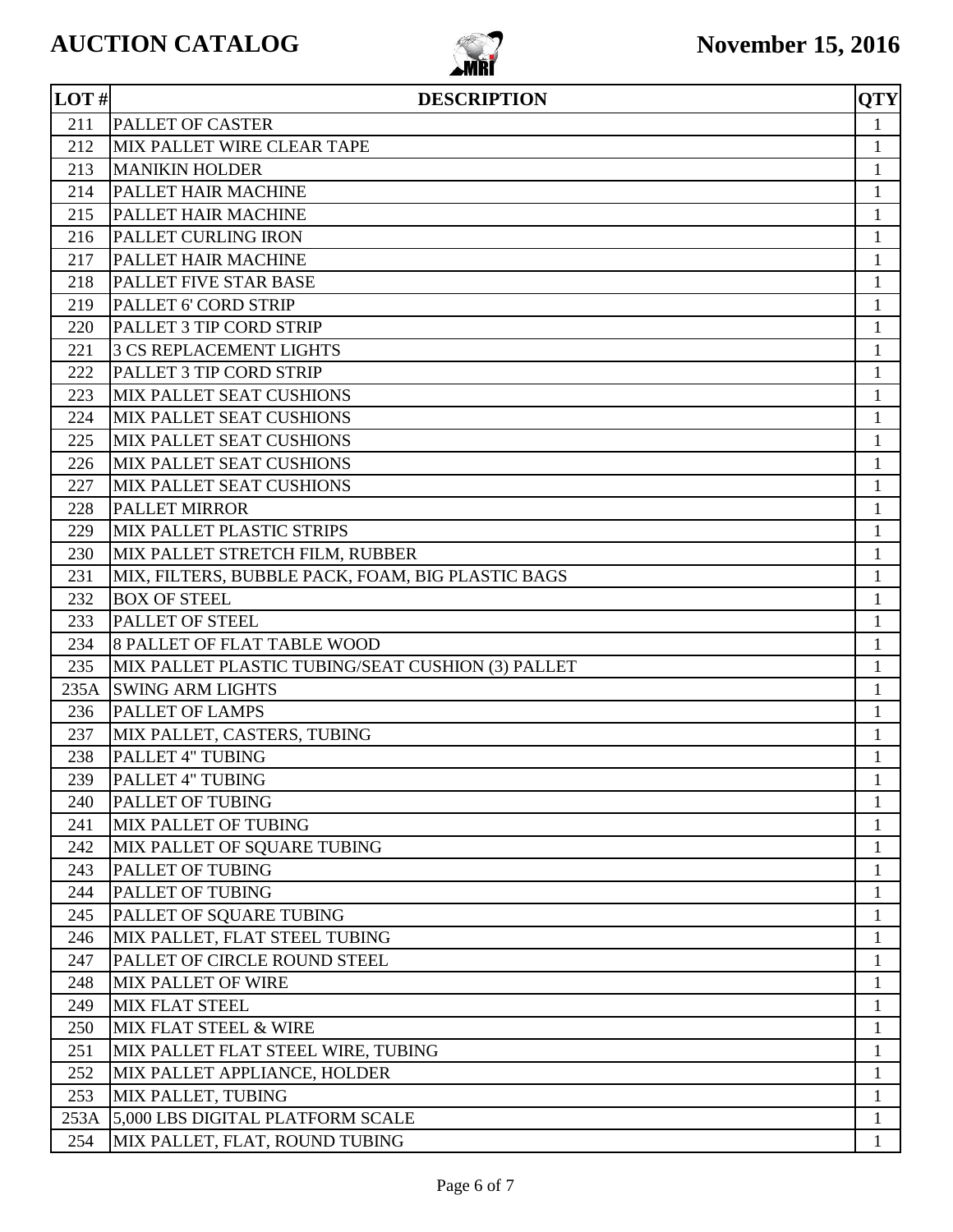

| LOT# | <b>DESCRIPTION</b>                                | <b>QTY</b>   |
|------|---------------------------------------------------|--------------|
| 211  | <b>PALLET OF CASTER</b>                           | $\mathbf{1}$ |
| 212  | MIX PALLET WIRE CLEAR TAPE                        | $\mathbf{1}$ |
| 213  | <b>MANIKIN HOLDER</b>                             | 1            |
| 214  | PALLET HAIR MACHINE                               | $\mathbf{1}$ |
| 215  | PALLET HAIR MACHINE                               | 1            |
| 216  | <b>PALLET CURLING IRON</b>                        | $\mathbf{1}$ |
| 217  | PALLET HAIR MACHINE                               | 1            |
| 218  | <b>PALLET FIVE STAR BASE</b>                      | 1            |
| 219  | <b>PALLET 6' CORD STRIP</b>                       | 1            |
| 220  | PALLET 3 TIP CORD STRIP                           | 1            |
| 221  | <b>3 CS REPLACEMENT LIGHTS</b>                    | 1            |
| 222  | PALLET 3 TIP CORD STRIP                           | 1            |
| 223  | MIX PALLET SEAT CUSHIONS                          | $\mathbf{1}$ |
| 224  | MIX PALLET SEAT CUSHIONS                          | $\mathbf{1}$ |
| 225  | <b>MIX PALLET SEAT CUSHIONS</b>                   | $\mathbf{1}$ |
| 226  | MIX PALLET SEAT CUSHIONS                          | 1            |
| 227  | MIX PALLET SEAT CUSHIONS                          | 1            |
| 228  | <b>PALLET MIRROR</b>                              | $\mathbf{1}$ |
| 229  | MIX PALLET PLASTIC STRIPS                         | $\mathbf{1}$ |
| 230  | MIX PALLET STRETCH FILM, RUBBER                   | 1            |
| 231  | MIX, FILTERS, BUBBLE PACK, FOAM, BIG PLASTIC BAGS | 1            |
| 232  | <b>BOX OF STEEL</b>                               | 1            |
| 233  | <b>PALLET OF STEEL</b>                            | 1            |
| 234  | <b>8 PALLET OF FLAT TABLE WOOD</b>                | 1            |
| 235  | MIX PALLET PLASTIC TUBING/SEAT CUSHION (3) PALLET | $\mathbf{1}$ |
| 235A | <b>SWING ARM LIGHTS</b>                           | 1            |
| 236  | PALLET OF LAMPS                                   | 1            |
| 237  | MIX PALLET, CASTERS, TUBING                       | $\mathbf{1}$ |
| 238  | PALLET 4" TUBING                                  | 1            |
| 239  | PALLET 4" TUBING                                  | $\mathbf{1}$ |
| 240  | PALLET OF TUBING                                  | $\mathbf{1}$ |
| 241  | <b>MIX PALLET OF TUBING</b>                       | $\mathbf{1}$ |
| 242  | MIX PALLET OF SQUARE TUBING                       | $\mathbf{1}$ |
| 243  | PALLET OF TUBING                                  | 1            |
| 244  | PALLET OF TUBING                                  | $\mathbf{1}$ |
| 245  | PALLET OF SQUARE TUBING                           | 1            |
| 246  | MIX PALLET, FLAT STEEL TUBING                     | $\mathbf{1}$ |
| 247  | PALLET OF CIRCLE ROUND STEEL                      | $\mathbf{1}$ |
| 248  | <b>MIX PALLET OF WIRE</b>                         | 1            |
| 249  | <b>MIX FLAT STEEL</b>                             | $\mathbf{1}$ |
| 250  | MIX FLAT STEEL & WIRE                             | 1            |
| 251  | MIX PALLET FLAT STEEL WIRE, TUBING                | 1            |
| 252  | MIX PALLET APPLIANCE, HOLDER                      | 1            |
| 253  | MIX PALLET, TUBING                                | $\mathbf{1}$ |
| 253A | 5,000 LBS DIGITAL PLATFORM SCALE                  | $\mathbf{1}$ |
| 254  | MIX PALLET, FLAT, ROUND TUBING                    | $\mathbf{1}$ |